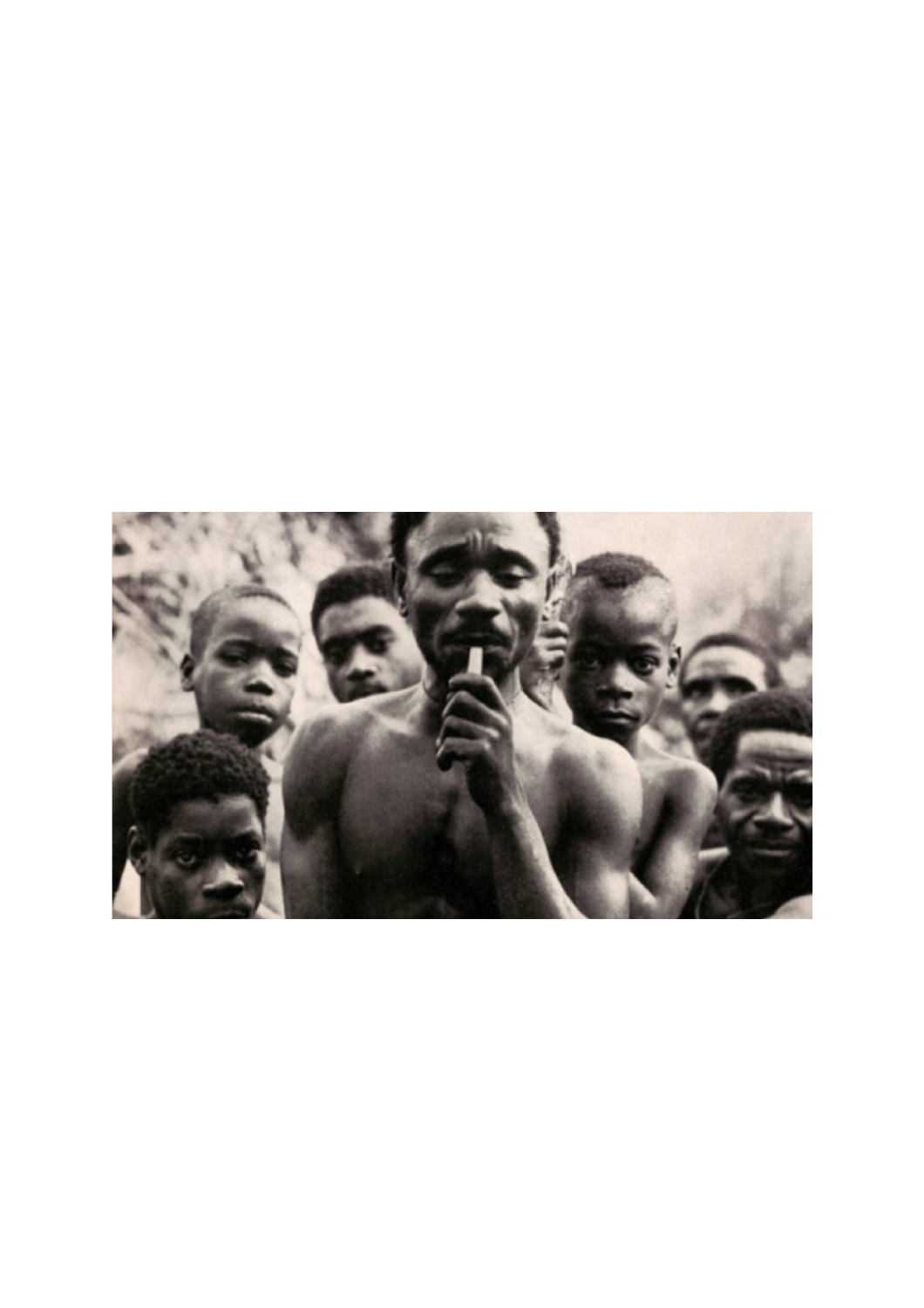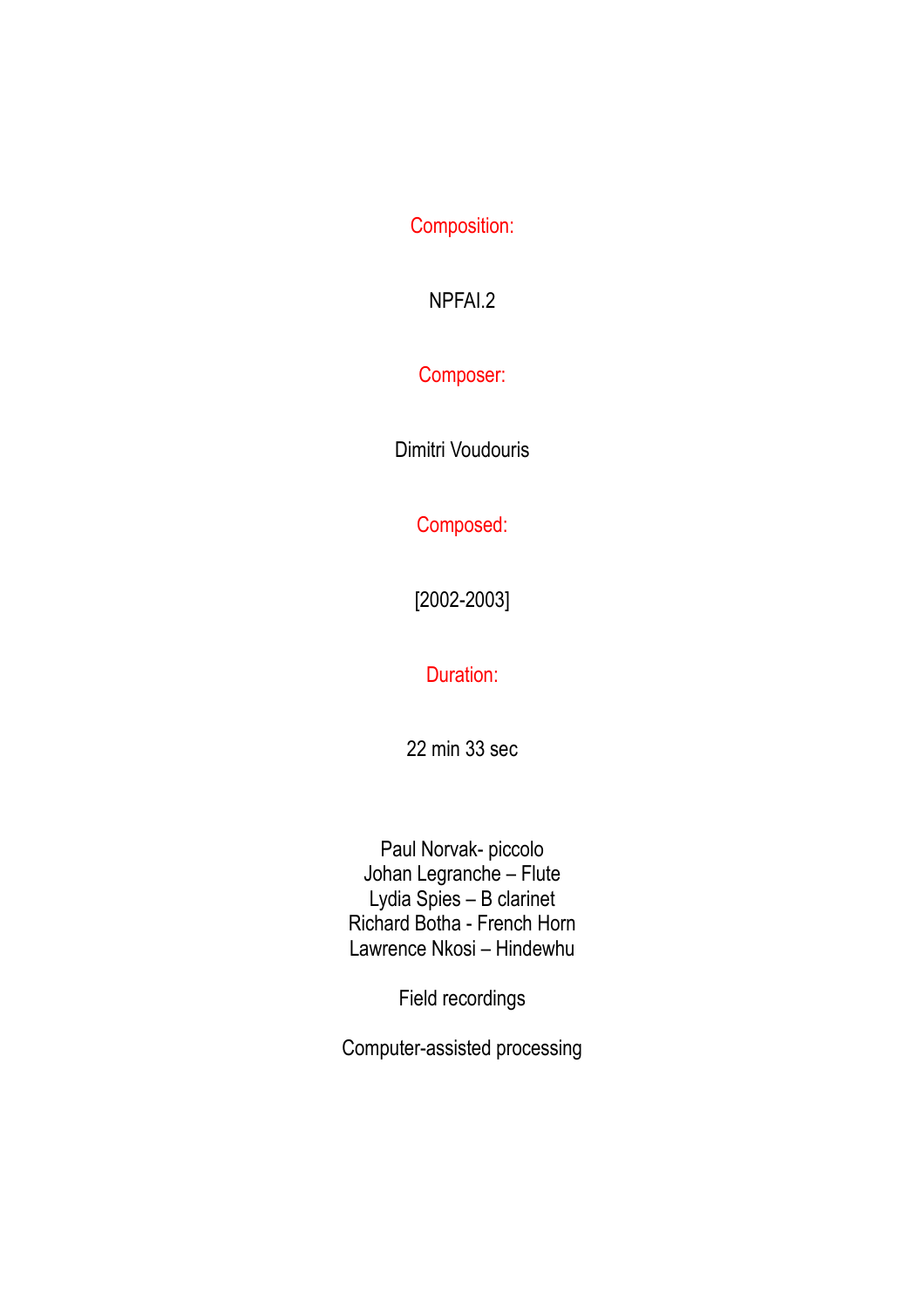Composition:

NPFAI.2

Composer:

Dimitri Voudouris

Composed:

[2002-2003]

Duration:

22 min 33 sec

Paul Norvak- piccolo Johan Legranche – Flute Lydia Spies – B clarinet Richard Botha - French Horn Lawrence Nkosi – Hindewhu

Field recordings

Computer-assisted processing